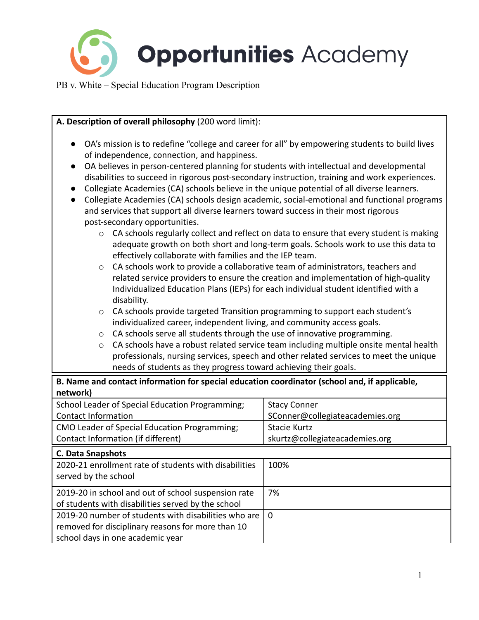

school days in one academic year

| A. Description of overall philosophy (200 word limit):                                                                                                                                                                                                                                                                                                                                                                                                                                                                                                                                                                                                                                                                                                                                                                                                                                                                                                                                                                     |                                                                                                                                                                                                                                                                                                                                                                                                                                                                                                                                                                                                                                                                                                                                  |  |
|----------------------------------------------------------------------------------------------------------------------------------------------------------------------------------------------------------------------------------------------------------------------------------------------------------------------------------------------------------------------------------------------------------------------------------------------------------------------------------------------------------------------------------------------------------------------------------------------------------------------------------------------------------------------------------------------------------------------------------------------------------------------------------------------------------------------------------------------------------------------------------------------------------------------------------------------------------------------------------------------------------------------------|----------------------------------------------------------------------------------------------------------------------------------------------------------------------------------------------------------------------------------------------------------------------------------------------------------------------------------------------------------------------------------------------------------------------------------------------------------------------------------------------------------------------------------------------------------------------------------------------------------------------------------------------------------------------------------------------------------------------------------|--|
| OA's mission is to redefine "college and career for all" by empowering students to build lives<br>of independence, connection, and happiness.<br>OA believes in person-centered planning for students with intellectual and developmental<br>disabilities to succeed in rigorous post-secondary instruction, training and work experiences.<br>Collegiate Academies (CA) schools believe in the unique potential of all diverse learners.<br>$\bullet$<br>and services that support all diverse learners toward success in their most rigorous<br>post-secondary opportunities.<br>$\circ$<br>effectively collaborate with families and the IEP team.<br>$\circ$<br>disability.<br>CA schools provide targeted Transition programming to support each student's<br>$\circ$<br>individualized career, independent living, and community access goals.<br>CA schools serve all students through the use of innovative programming.<br>$\circ$<br>$\circ$<br>needs of students as they progress toward achieving their goals. | Collegiate Academies (CA) schools design academic, social-emotional and functional programs<br>CA schools regularly collect and reflect on data to ensure that every student is making<br>adequate growth on both short and long-term goals. Schools work to use this data to<br>CA schools work to provide a collaborative team of administrators, teachers and<br>related service providers to ensure the creation and implementation of high-quality<br>Individualized Education Plans (IEPs) for each individual student identified with a<br>CA schools have a robust related service team including multiple onsite mental health<br>professionals, nursing services, speech and other related services to meet the unique |  |
| B. Name and contact information for special education coordinator (school and, if applicable,<br>network)                                                                                                                                                                                                                                                                                                                                                                                                                                                                                                                                                                                                                                                                                                                                                                                                                                                                                                                  |                                                                                                                                                                                                                                                                                                                                                                                                                                                                                                                                                                                                                                                                                                                                  |  |
| School Leader of Special Education Programming;<br><b>Contact Information</b>                                                                                                                                                                                                                                                                                                                                                                                                                                                                                                                                                                                                                                                                                                                                                                                                                                                                                                                                              | <b>Stacy Conner</b><br>SConner@collegiateacademies.org                                                                                                                                                                                                                                                                                                                                                                                                                                                                                                                                                                                                                                                                           |  |
| CMO Leader of Special Education Programming;<br><b>Stacie Kurtz</b><br>Contact Information (if different)<br>skurtz@collegiateacademies.org                                                                                                                                                                                                                                                                                                                                                                                                                                                                                                                                                                                                                                                                                                                                                                                                                                                                                |                                                                                                                                                                                                                                                                                                                                                                                                                                                                                                                                                                                                                                                                                                                                  |  |
| C. Data Snapshots                                                                                                                                                                                                                                                                                                                                                                                                                                                                                                                                                                                                                                                                                                                                                                                                                                                                                                                                                                                                          |                                                                                                                                                                                                                                                                                                                                                                                                                                                                                                                                                                                                                                                                                                                                  |  |
| 2020-21 enrollment rate of students with disabilities<br>served by the school                                                                                                                                                                                                                                                                                                                                                                                                                                                                                                                                                                                                                                                                                                                                                                                                                                                                                                                                              | 100%                                                                                                                                                                                                                                                                                                                                                                                                                                                                                                                                                                                                                                                                                                                             |  |
| 2019-20 in school and out of school suspension rate<br>7%<br>of students with disabilities served by the school                                                                                                                                                                                                                                                                                                                                                                                                                                                                                                                                                                                                                                                                                                                                                                                                                                                                                                            |                                                                                                                                                                                                                                                                                                                                                                                                                                                                                                                                                                                                                                                                                                                                  |  |
| 2019-20 number of students with disabilities who are<br>$\mathbf{0}$<br>removed for disciplinary reasons for more than 10                                                                                                                                                                                                                                                                                                                                                                                                                                                                                                                                                                                                                                                                                                                                                                                                                                                                                                  |                                                                                                                                                                                                                                                                                                                                                                                                                                                                                                                                                                                                                                                                                                                                  |  |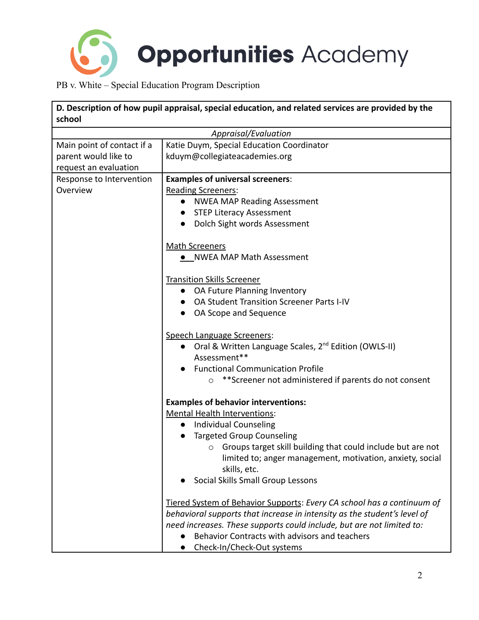

| school                                                                      | D. Description of how pupil appraisal, special education, and related services are provided by the |
|-----------------------------------------------------------------------------|----------------------------------------------------------------------------------------------------|
|                                                                             | Appraisal/Evaluation                                                                               |
| Main point of contact if a<br>parent would like to<br>request an evaluation | Katie Duym, Special Education Coordinator<br>kduym@collegiateacademies.org                         |
| Response to Intervention                                                    | <b>Examples of universal screeners:</b>                                                            |
| Overview                                                                    | <b>Reading Screeners:</b>                                                                          |
|                                                                             | <b>NWEA MAP Reading Assessment</b>                                                                 |
|                                                                             | <b>STEP Literacy Assessment</b>                                                                    |
|                                                                             | Dolch Sight words Assessment<br>$\bullet$                                                          |
|                                                                             | <b>Math Screeners</b>                                                                              |
|                                                                             | • NWEA MAP Math Assessment                                                                         |
|                                                                             | <b>Transition Skills Screener</b>                                                                  |
|                                                                             | • OA Future Planning Inventory                                                                     |
|                                                                             | OA Student Transition Screener Parts I-IV                                                          |
|                                                                             | OA Scope and Sequence<br>$\bullet$                                                                 |
|                                                                             | Speech Language Screeners:                                                                         |
|                                                                             | • Oral & Written Language Scales, 2 <sup>nd</sup> Edition (OWLS-II)                                |
|                                                                             | Assessment**                                                                                       |
|                                                                             | <b>Functional Communication Profile</b>                                                            |
|                                                                             | ** Screener not administered if parents do not consent<br>$\circ$                                  |
|                                                                             | <b>Examples of behavior interventions:</b>                                                         |
|                                                                             | <b>Mental Health Interventions:</b>                                                                |
|                                                                             | <b>Individual Counseling</b><br>$\bullet$                                                          |
|                                                                             | <b>Targeted Group Counseling</b>                                                                   |
|                                                                             | Groups target skill building that could include but are not<br>$\circ$                             |
|                                                                             | limited to; anger management, motivation, anxiety, social                                          |
|                                                                             | skills, etc.                                                                                       |
|                                                                             | Social Skills Small Group Lessons                                                                  |
|                                                                             | Tiered System of Behavior Supports: Every CA school has a continuum of                             |
|                                                                             | behavioral supports that increase in intensity as the student's level of                           |
|                                                                             | need increases. These supports could include, but are not limited to:                              |
|                                                                             | Behavior Contracts with advisors and teachers                                                      |
|                                                                             | Check-In/Check-Out systems<br>$\bullet$                                                            |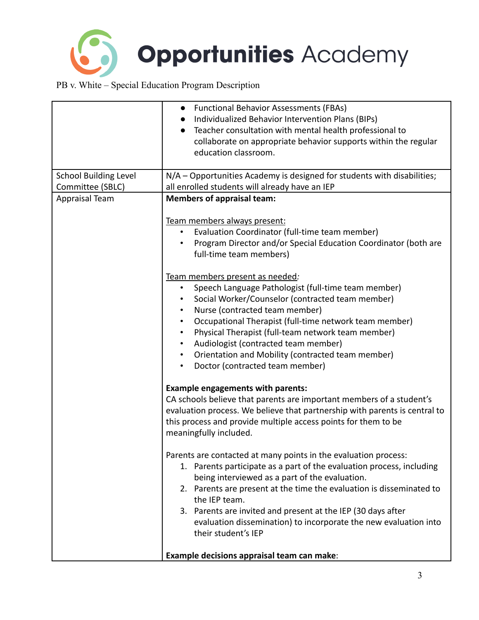

| N/A - Opportunities Academy is designed for students with disabilities;<br>all enrolled students will already have an IEP<br><b>Members of appraisal team:</b>                                                                                                                                                                                                                                                                                                                                             |
|------------------------------------------------------------------------------------------------------------------------------------------------------------------------------------------------------------------------------------------------------------------------------------------------------------------------------------------------------------------------------------------------------------------------------------------------------------------------------------------------------------|
|                                                                                                                                                                                                                                                                                                                                                                                                                                                                                                            |
|                                                                                                                                                                                                                                                                                                                                                                                                                                                                                                            |
| Team members always present:<br>Evaluation Coordinator (full-time team member)<br>$\bullet$<br>Program Director and/or Special Education Coordinator (both are<br>full-time team members)                                                                                                                                                                                                                                                                                                                  |
| Team members present as needed:<br>Speech Language Pathologist (full-time team member)<br>$\bullet$<br>Social Worker/Counselor (contracted team member)<br>Nurse (contracted team member)<br>Occupational Therapist (full-time network team member)<br>$\bullet$<br>Physical Therapist (full-team network team member)<br>$\bullet$<br>Audiologist (contracted team member)<br>$\bullet$<br>Orientation and Mobility (contracted team member)<br>$\bullet$<br>Doctor (contracted team member)<br>$\bullet$ |
| <b>Example engagements with parents:</b><br>CA schools believe that parents are important members of a student's<br>evaluation process. We believe that partnership with parents is central to<br>this process and provide multiple access points for them to be<br>meaningfully included.                                                                                                                                                                                                                 |
| Parents are contacted at many points in the evaluation process:<br>1. Parents participate as a part of the evaluation process, including<br>being interviewed as a part of the evaluation.<br>2. Parents are present at the time the evaluation is disseminated to<br>the IEP team.<br>3. Parents are invited and present at the IEP (30 days after<br>evaluation dissemination) to incorporate the new evaluation into<br>their student's IEP<br>Example decisions appraisal team can make:               |
|                                                                                                                                                                                                                                                                                                                                                                                                                                                                                                            |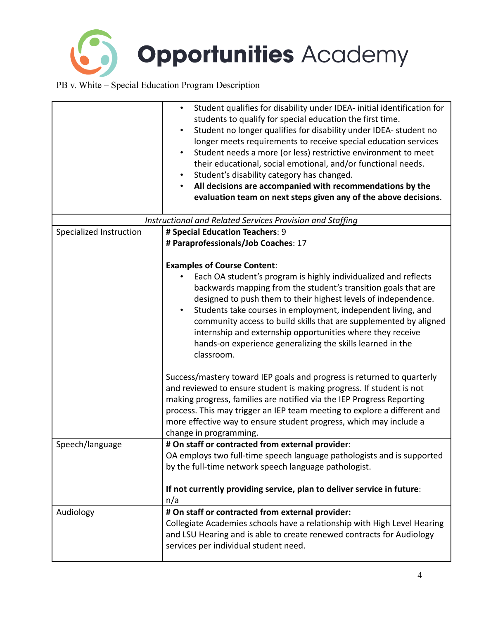**Opportunities Academy** 

|                         | Student qualifies for disability under IDEA- initial identification for<br>$\bullet$<br>students to qualify for special education the first time.<br>Student no longer qualifies for disability under IDEA- student no<br>$\bullet$<br>longer meets requirements to receive special education services<br>Student needs a more (or less) restrictive environment to meet<br>٠<br>their educational, social emotional, and/or functional needs.<br>Student's disability category has changed.<br>All decisions are accompanied with recommendations by the<br>$\bullet$<br>evaluation team on next steps given any of the above decisions. |
|-------------------------|-------------------------------------------------------------------------------------------------------------------------------------------------------------------------------------------------------------------------------------------------------------------------------------------------------------------------------------------------------------------------------------------------------------------------------------------------------------------------------------------------------------------------------------------------------------------------------------------------------------------------------------------|
|                         | Instructional and Related Services Provision and Staffing                                                                                                                                                                                                                                                                                                                                                                                                                                                                                                                                                                                 |
| Specialized Instruction | # Special Education Teachers: 9<br># Paraprofessionals/Job Coaches: 17                                                                                                                                                                                                                                                                                                                                                                                                                                                                                                                                                                    |
|                         | <b>Examples of Course Content:</b><br>Each OA student's program is highly individualized and reflects<br>backwards mapping from the student's transition goals that are<br>designed to push them to their highest levels of independence.<br>Students take courses in employment, independent living, and<br>$\bullet$<br>community access to build skills that are supplemented by aligned<br>internship and externship opportunities where they receive<br>hands-on experience generalizing the skills learned in the<br>classroom.                                                                                                     |
|                         | Success/mastery toward IEP goals and progress is returned to quarterly<br>and reviewed to ensure student is making progress. If student is not<br>making progress, families are notified via the IEP Progress Reporting<br>process. This may trigger an IEP team meeting to explore a different and<br>more effective way to ensure student progress, which may include a<br>change in programming.                                                                                                                                                                                                                                       |
| Speech/language         | # On staff or contracted from external provider:<br>OA employs two full-time speech language pathologists and is supported<br>by the full-time network speech language pathologist.<br>If not currently providing service, plan to deliver service in future:<br>n/a                                                                                                                                                                                                                                                                                                                                                                      |
| Audiology               | # On staff or contracted from external provider:<br>Collegiate Academies schools have a relationship with High Level Hearing<br>and LSU Hearing and is able to create renewed contracts for Audiology<br>services per individual student need.                                                                                                                                                                                                                                                                                                                                                                                            |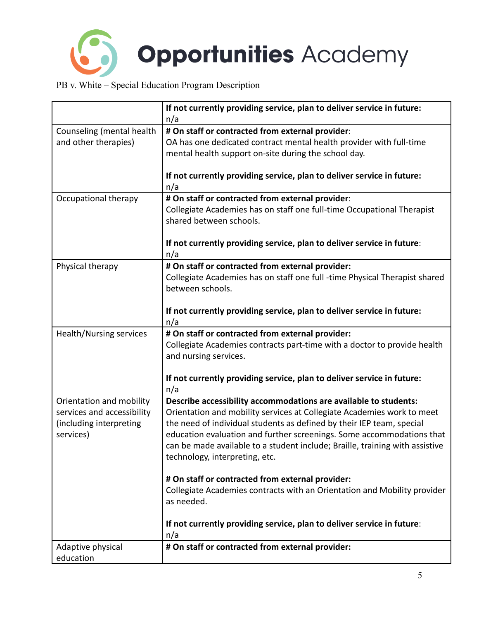

| n/a<br># On staff or contracted from external provider:<br>Counseling (mental health                 |
|------------------------------------------------------------------------------------------------------|
|                                                                                                      |
|                                                                                                      |
| OA has one dedicated contract mental health provider with full-time<br>and other therapies)          |
| mental health support on-site during the school day.                                                 |
|                                                                                                      |
| If not currently providing service, plan to deliver service in future:                               |
| n/a                                                                                                  |
| # On staff or contracted from external provider:<br>Occupational therapy                             |
| Collegiate Academies has on staff one full-time Occupational Therapist                               |
| shared between schools.                                                                              |
|                                                                                                      |
| If not currently providing service, plan to deliver service in future:                               |
| n/a                                                                                                  |
| # On staff or contracted from external provider:<br>Physical therapy                                 |
| Collegiate Academies has on staff one full -time Physical Therapist shared                           |
| between schools.                                                                                     |
|                                                                                                      |
| If not currently providing service, plan to deliver service in future:                               |
| n/a                                                                                                  |
| # On staff or contracted from external provider:<br>Health/Nursing services                          |
| Collegiate Academies contracts part-time with a doctor to provide health                             |
| and nursing services.                                                                                |
|                                                                                                      |
| If not currently providing service, plan to deliver service in future:                               |
| n/a                                                                                                  |
| Orientation and mobility<br>Describe accessibility accommodations are available to students:         |
| services and accessibility<br>Orientation and mobility services at Collegiate Academies work to meet |
| the need of individual students as defined by their IEP team, special<br>(including interpreting     |
| education evaluation and further screenings. Some accommodations that<br>services)                   |
| can be made available to a student include; Braille, training with assistive                         |
| technology, interpreting, etc.                                                                       |
|                                                                                                      |
| # On staff or contracted from external provider:                                                     |
| Collegiate Academies contracts with an Orientation and Mobility provider                             |
| as needed.                                                                                           |
|                                                                                                      |
| If not currently providing service, plan to deliver service in future:                               |
| n/a                                                                                                  |
| # On staff or contracted from external provider:<br>Adaptive physical                                |
| education                                                                                            |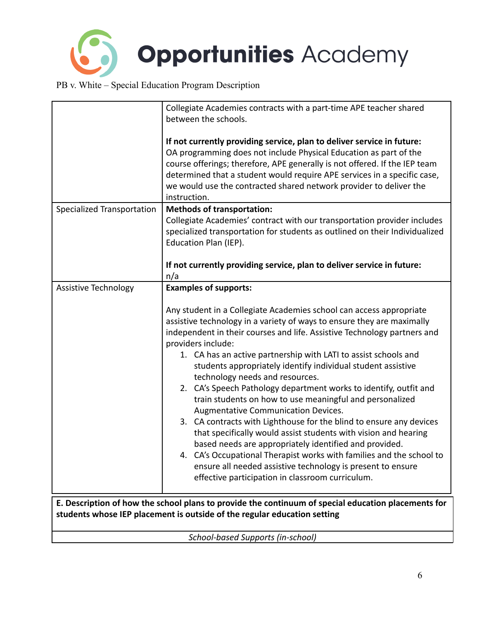

|                            | Collegiate Academies contracts with a part-time APE teacher shared<br>between the schools.                                                                                                                                                                                                                                                                                                                                                                                                                                                                                                                                                                                                                                                                                                                                                                                                                                                                                                                                   |
|----------------------------|------------------------------------------------------------------------------------------------------------------------------------------------------------------------------------------------------------------------------------------------------------------------------------------------------------------------------------------------------------------------------------------------------------------------------------------------------------------------------------------------------------------------------------------------------------------------------------------------------------------------------------------------------------------------------------------------------------------------------------------------------------------------------------------------------------------------------------------------------------------------------------------------------------------------------------------------------------------------------------------------------------------------------|
|                            | If not currently providing service, plan to deliver service in future:<br>OA programming does not include Physical Education as part of the<br>course offerings; therefore, APE generally is not offered. If the IEP team<br>determined that a student would require APE services in a specific case,<br>we would use the contracted shared network provider to deliver the<br>instruction.                                                                                                                                                                                                                                                                                                                                                                                                                                                                                                                                                                                                                                  |
| Specialized Transportation | <b>Methods of transportation:</b><br>Collegiate Academies' contract with our transportation provider includes<br>specialized transportation for students as outlined on their Individualized<br>Education Plan (IEP).<br>If not currently providing service, plan to deliver service in future:<br>n/a                                                                                                                                                                                                                                                                                                                                                                                                                                                                                                                                                                                                                                                                                                                       |
| Assistive Technology       | <b>Examples of supports:</b><br>Any student in a Collegiate Academies school can access appropriate<br>assistive technology in a variety of ways to ensure they are maximally<br>independent in their courses and life. Assistive Technology partners and<br>providers include:<br>1. CA has an active partnership with LATI to assist schools and<br>students appropriately identify individual student assistive<br>technology needs and resources.<br>2. CA's Speech Pathology department works to identify, outfit and<br>train students on how to use meaningful and personalized<br>Augmentative Communication Devices.<br>3. CA contracts with Lighthouse for the blind to ensure any devices<br>that specifically would assist students with vision and hearing<br>based needs are appropriately identified and provided.<br>4. CA's Occupational Therapist works with families and the school to<br>ensure all needed assistive technology is present to ensure<br>effective participation in classroom curriculum. |
|                            | E. Description of how the school plans to provide the continuum of special education placements for<br>students whose IEP placement is outside of the regular education setting                                                                                                                                                                                                                                                                                                                                                                                                                                                                                                                                                                                                                                                                                                                                                                                                                                              |

*School-based Supports (in-school)*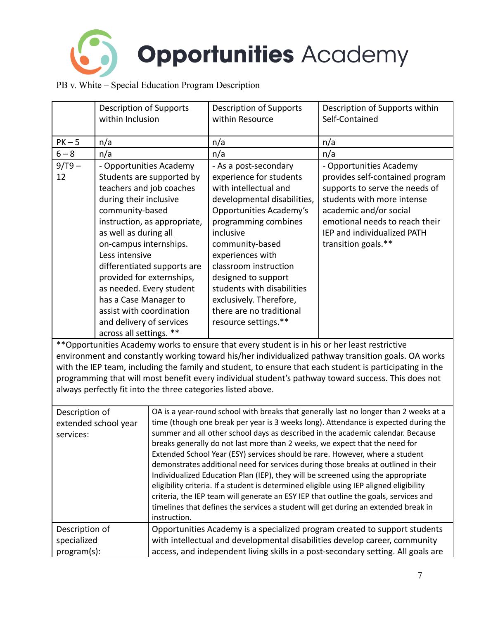

|                | <b>Description of Supports</b>           |                                                                                  | <b>Description of Supports</b>                                                                 | Description of Supports within                                                                           |
|----------------|------------------------------------------|----------------------------------------------------------------------------------|------------------------------------------------------------------------------------------------|----------------------------------------------------------------------------------------------------------|
|                | within Inclusion                         |                                                                                  | within Resource                                                                                | Self-Contained                                                                                           |
|                |                                          |                                                                                  |                                                                                                |                                                                                                          |
| $PK-5$         | n/a                                      |                                                                                  | n/a                                                                                            | n/a                                                                                                      |
| $6 - 8$        | n/a                                      |                                                                                  | n/a                                                                                            | n/a                                                                                                      |
| $9/T9 -$       | - Opportunities Academy                  |                                                                                  | - As a post-secondary                                                                          | - Opportunities Academy                                                                                  |
| 12             |                                          | Students are supported by                                                        | experience for students                                                                        | provides self-contained program                                                                          |
|                | teachers and job coaches                 |                                                                                  | with intellectual and                                                                          | supports to serve the needs of                                                                           |
|                | during their inclusive                   |                                                                                  | developmental disabilities,                                                                    | students with more intense                                                                               |
|                | community-based                          |                                                                                  | Opportunities Academy's                                                                        | academic and/or social                                                                                   |
|                |                                          | instruction, as appropriate,                                                     | programming combines                                                                           | emotional needs to reach their                                                                           |
|                | as well as during all                    |                                                                                  | inclusive                                                                                      | IEP and individualized PATH                                                                              |
|                | on-campus internships.<br>Less intensive |                                                                                  | community-based<br>experiences with                                                            | transition goals.**                                                                                      |
|                |                                          | differentiated supports are                                                      | classroom instruction                                                                          |                                                                                                          |
|                | provided for externships,                |                                                                                  | designed to support                                                                            |                                                                                                          |
|                | as needed. Every student                 |                                                                                  | students with disabilities                                                                     |                                                                                                          |
|                | has a Case Manager to                    |                                                                                  | exclusively. Therefore,                                                                        |                                                                                                          |
|                | assist with coordination                 |                                                                                  | there are no traditional                                                                       |                                                                                                          |
|                | and delivery of services                 |                                                                                  | resource settings.**                                                                           |                                                                                                          |
|                | across all settings. **                  |                                                                                  |                                                                                                |                                                                                                          |
|                |                                          |                                                                                  | ** Opportunities Academy works to ensure that every student is in his or her least restrictive |                                                                                                          |
|                |                                          |                                                                                  |                                                                                                | environment and constantly working toward his/her individualized pathway transition goals. OA works      |
|                |                                          |                                                                                  |                                                                                                | with the IEP team, including the family and student, to ensure that each student is participating in the |
|                |                                          |                                                                                  |                                                                                                | programming that will most benefit every individual student's pathway toward success. This does not      |
|                |                                          |                                                                                  | always perfectly fit into the three categories listed above.                                   |                                                                                                          |
|                |                                          |                                                                                  |                                                                                                |                                                                                                          |
| Description of |                                          |                                                                                  |                                                                                                | OA is a year-round school with breaks that generally last no longer than 2 weeks at a                    |
|                | extended school year                     |                                                                                  |                                                                                                | time (though one break per year is 3 weeks long). Attendance is expected during the                      |
| services:      |                                          |                                                                                  |                                                                                                | summer and all other school days as described in the academic calendar. Because                          |
|                |                                          |                                                                                  | breaks generally do not last more than 2 weeks, we expect that the need for                    |                                                                                                          |
|                |                                          |                                                                                  | Extended School Year (ESY) services should be rare. However, where a student                   |                                                                                                          |
|                |                                          |                                                                                  | Individualized Education Plan (IEP), they will be screened using the appropriate               | demonstrates additional need for services during those breaks at outlined in their                       |
|                |                                          |                                                                                  | eligibility criteria. If a student is determined eligible using IEP aligned eligibility        |                                                                                                          |
|                |                                          |                                                                                  |                                                                                                | criteria, the IEP team will generate an ESY IEP that outline the goals, services and                     |
|                |                                          |                                                                                  |                                                                                                | timelines that defines the services a student will get during an extended break in                       |
|                |                                          | instruction.                                                                     |                                                                                                |                                                                                                          |
| Description of |                                          |                                                                                  |                                                                                                | Opportunities Academy is a specialized program created to support students                               |
| specialized    |                                          | with intellectual and developmental disabilities develop career, community       |                                                                                                |                                                                                                          |
| program(s):    |                                          | access, and independent living skills in a post-secondary setting. All goals are |                                                                                                |                                                                                                          |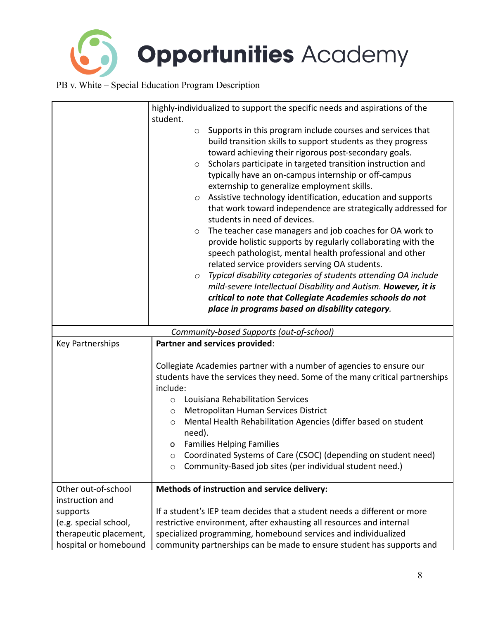

|                                        | highly-individualized to support the specific needs and aspirations of the                                                                                                                                                                                                                                                                                                                                                                                                                                                                                                                                                                                                                                                                                                                                                                                                                                                                                                                                                                                                                  |  |
|----------------------------------------|---------------------------------------------------------------------------------------------------------------------------------------------------------------------------------------------------------------------------------------------------------------------------------------------------------------------------------------------------------------------------------------------------------------------------------------------------------------------------------------------------------------------------------------------------------------------------------------------------------------------------------------------------------------------------------------------------------------------------------------------------------------------------------------------------------------------------------------------------------------------------------------------------------------------------------------------------------------------------------------------------------------------------------------------------------------------------------------------|--|
|                                        | student.<br>Supports in this program include courses and services that<br>$\circ$<br>build transition skills to support students as they progress<br>toward achieving their rigorous post-secondary goals.<br>Scholars participate in targeted transition instruction and<br>$\circ$<br>typically have an on-campus internship or off-campus<br>externship to generalize employment skills.<br>Assistive technology identification, education and supports<br>$\circ$<br>that work toward independence are strategically addressed for<br>students in need of devices.<br>The teacher case managers and job coaches for OA work to<br>$\circ$<br>provide holistic supports by regularly collaborating with the<br>speech pathologist, mental health professional and other<br>related service providers serving OA students.<br>Typical disability categories of students attending OA include<br>$\circ$<br>mild-severe Intellectual Disability and Autism. However, it is<br>critical to note that Collegiate Academies schools do not<br>place in programs based on disability category. |  |
|                                        | Community-based Supports (out-of-school)                                                                                                                                                                                                                                                                                                                                                                                                                                                                                                                                                                                                                                                                                                                                                                                                                                                                                                                                                                                                                                                    |  |
| Key Partnerships                       | Partner and services provided:                                                                                                                                                                                                                                                                                                                                                                                                                                                                                                                                                                                                                                                                                                                                                                                                                                                                                                                                                                                                                                                              |  |
|                                        | Collegiate Academies partner with a number of agencies to ensure our<br>students have the services they need. Some of the many critical partnerships<br>include:<br>Louisiana Rehabilitation Services<br>$\circ$<br>Metropolitan Human Services District<br>O<br>Mental Health Rehabilitation Agencies (differ based on student<br>$\circ$<br>need).<br><b>Families Helping Families</b><br>o<br>Coordinated Systems of Care (CSOC) (depending on student need)<br>O<br>Community-Based job sites (per individual student need.)<br>$\circ$                                                                                                                                                                                                                                                                                                                                                                                                                                                                                                                                                 |  |
| Other out-of-school<br>instruction and | Methods of instruction and service delivery:                                                                                                                                                                                                                                                                                                                                                                                                                                                                                                                                                                                                                                                                                                                                                                                                                                                                                                                                                                                                                                                |  |
| supports                               | If a student's IEP team decides that a student needs a different or more                                                                                                                                                                                                                                                                                                                                                                                                                                                                                                                                                                                                                                                                                                                                                                                                                                                                                                                                                                                                                    |  |
| (e.g. special school,                  | restrictive environment, after exhausting all resources and internal                                                                                                                                                                                                                                                                                                                                                                                                                                                                                                                                                                                                                                                                                                                                                                                                                                                                                                                                                                                                                        |  |
| therapeutic placement,                 | specialized programming, homebound services and individualized                                                                                                                                                                                                                                                                                                                                                                                                                                                                                                                                                                                                                                                                                                                                                                                                                                                                                                                                                                                                                              |  |
| hospital or homebound                  | community partnerships can be made to ensure student has supports and                                                                                                                                                                                                                                                                                                                                                                                                                                                                                                                                                                                                                                                                                                                                                                                                                                                                                                                                                                                                                       |  |